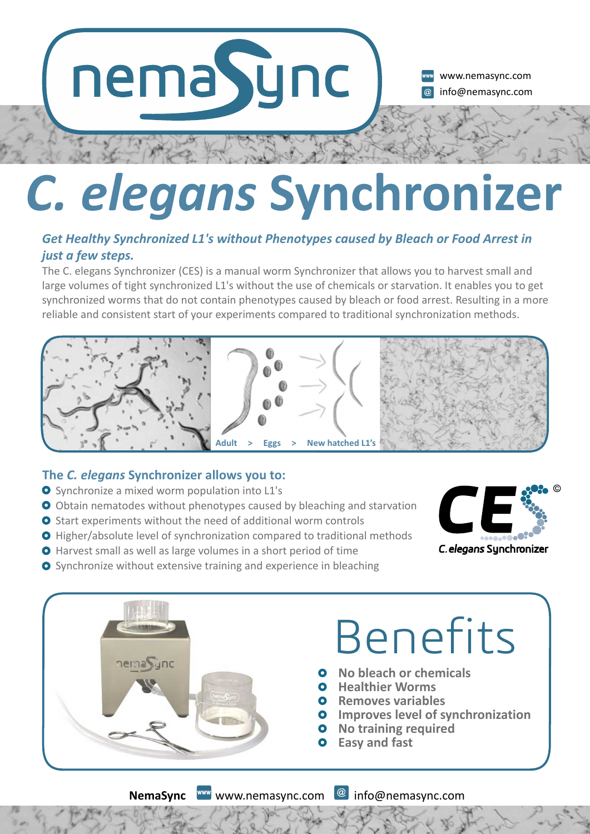# nemaSync

www.nemasync.com info@nemasync.com

### *C. elegans* **Synchronizer**

### *Get Healthy Synchronized L1's without Phenotypes caused by Bleach or Food Arrest in just a few steps.*

The C. elegans Synchronizer (CES) is a manual worm Synchronizer that allows you to harvest small and large volumes of tight synchronized L1's without the use of chemicals or starvation. It enables you to get synchronized worms that do not contain phenotypes caused by bleach or food arrest. Resulting in a more reliable and consistent start of your experiments compared to traditional synchronization methods.



### The *C. elegans* Synchronizer allows you to:

- O Synchronize a mixed worm population into L1's
- O Obtain nematodes without phenotypes caused by bleaching and starvation
- **O** Start experiments without the need of additional worm controls
- **O** Higher/absolute level of synchronization compared to traditional methods
- **O** Harvest small as well as large volumes in a short period of time



**O** Synchronize without extensive training and experience in bleaching



**NemaSync** www.nemasync.com @ info@nemasync.com